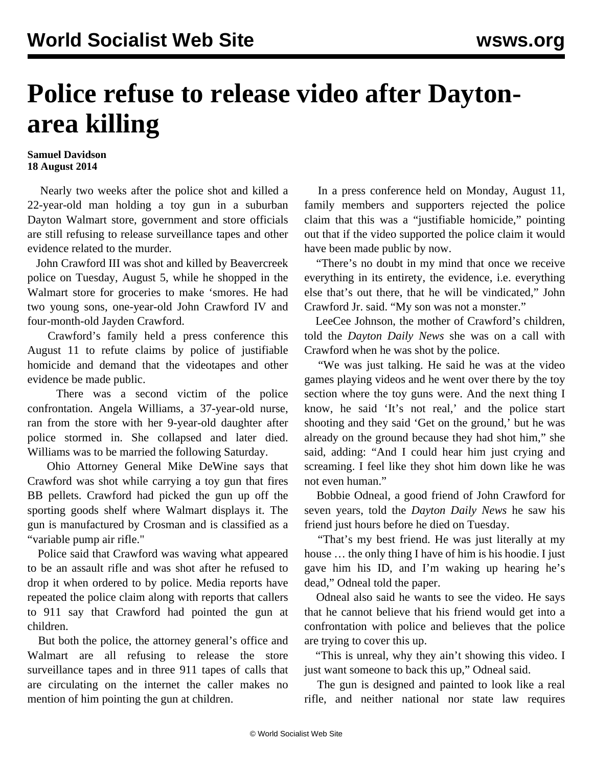## **Police refuse to release video after Daytonarea killing**

## **Samuel Davidson 18 August 2014**

 Nearly two weeks after the police shot and killed a 22-year-old man holding a toy gun in a suburban Dayton Walmart store, government and store officials are still refusing to release surveillance tapes and other evidence related to the murder.

 John Crawford III was shot and killed by Beavercreek police on Tuesday, August 5, while he shopped in the Walmart store for groceries to make 'smores. He had two young sons, one-year-old John Crawford IV and four-month-old Jayden Crawford.

 Crawford's family held a press conference this August 11 to refute claims by police of justifiable homicide and demand that the videotapes and other evidence be made public.

 There was a second victim of the police confrontation. Angela Williams, a 37-year-old nurse, ran from the store with her 9-year-old daughter after police stormed in. She collapsed and later died. Williams was to be married the following Saturday.

 Ohio Attorney General Mike DeWine says that Crawford was shot while carrying a toy gun that fires BB pellets. Crawford had picked the gun up off the sporting goods shelf where Walmart displays it. The gun is manufactured by Crosman and is classified as a "variable pump air rifle."

 Police said that Crawford was waving what appeared to be an assault rifle and was shot after he refused to drop it when ordered to by police. Media reports have repeated the police claim along with reports that callers to 911 say that Crawford had pointed the gun at children.

 But both the police, the attorney general's office and Walmart are all refusing to release the store surveillance tapes and in three 911 tapes of calls that are circulating on the internet the caller makes no mention of him pointing the gun at children.

 In a press conference held on Monday, August 11, family members and supporters rejected the police claim that this was a "justifiable homicide," pointing out that if the video supported the police claim it would have been made public by now.

 "There's no doubt in my mind that once we receive everything in its entirety, the evidence, i.e. everything else that's out there, that he will be vindicated," John Crawford Jr. said. "My son was not a monster."

 LeeCee Johnson, the mother of Crawford's children, told the *Dayton Daily News* she was on a call with Crawford when he was shot by the police.

 "We was just talking. He said he was at the video games playing videos and he went over there by the toy section where the toy guns were. And the next thing I know, he said 'It's not real,' and the police start shooting and they said 'Get on the ground,' but he was already on the ground because they had shot him," she said, adding: "And I could hear him just crying and screaming. I feel like they shot him down like he was not even human."

 Bobbie Odneal, a good friend of John Crawford for seven years, told the *Dayton Daily News* he saw his friend just hours before he died on Tuesday.

 "That's my best friend. He was just literally at my house … the only thing I have of him is his hoodie. I just gave him his ID, and I'm waking up hearing he's dead," Odneal told the paper.

 Odneal also said he wants to see the video. He says that he cannot believe that his friend would get into a confrontation with police and believes that the police are trying to cover this up.

 "This is unreal, why they ain't showing this video. I just want someone to back this up," Odneal said.

 The gun is designed and painted to look like a real rifle, and neither national nor state law requires